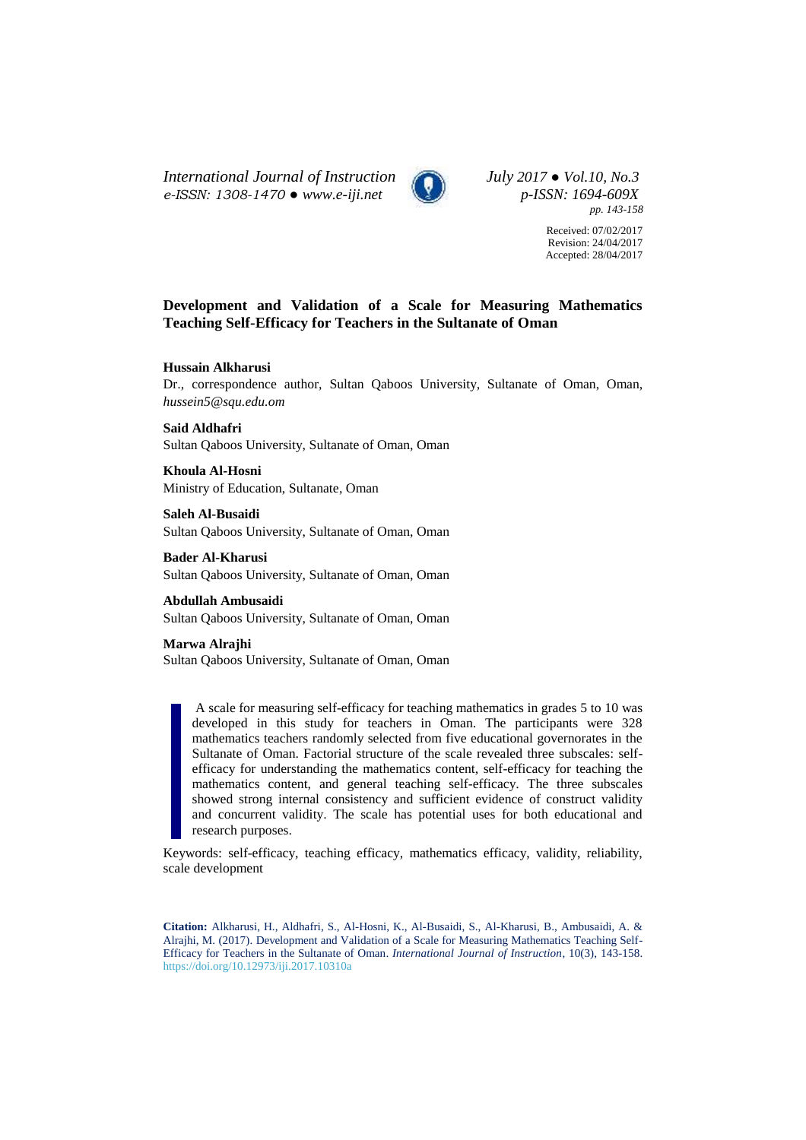*International Journal of Instruction July 2017 ● Vol.10, No.3 e-ISSN: 1308-1470 ● [www.e-iji.net](http://www.e-iji.net/) p-ISSN: 1694-609X*



*pp. 143-158*

Received: 07/02/2017 Revision: 24/04/2017 Accepted: 28/04/2017

# **Development and Validation of a Scale for Measuring Mathematics Teaching Self-Efficacy for Teachers in the Sultanate of Oman**

**Hussain Alkharusi**

Dr., correspondence author, Sultan Qaboos University, Sultanate of Oman, Oman, *hussein5@squ.edu.om*

**Said Aldhafri** Sultan Qaboos University, Sultanate of Oman, Oman

**Khoula Al-Hosni** Ministry of Education, Sultanate, Oman

**Saleh Al-Busaidi** Sultan Qaboos University, Sultanate of Oman, Oman

**Bader Al-Kharusi** Sultan Qaboos University, Sultanate of Oman, Oman

**Abdullah Ambusaidi** Sultan Qaboos University, Sultanate of Oman, Oman

**Marwa Alrajhi** Sultan Qaboos University, Sultanate of Oman, Oman

A scale for measuring self-efficacy for teaching mathematics in grades 5 to 10 was developed in this study for teachers in Oman. The participants were 328 mathematics teachers randomly selected from five educational governorates in the Sultanate of Oman. Factorial structure of the scale revealed three subscales: selfefficacy for understanding the mathematics content, self-efficacy for teaching the mathematics content, and general teaching self-efficacy. The three subscales showed strong internal consistency and sufficient evidence of construct validity and concurrent validity. The scale has potential uses for both educational and research purposes.

Keywords: self-efficacy, teaching efficacy, mathematics efficacy, validity, reliability, scale development

**Citation:** Alkharusi, H., Aldhafri, S., Al-Hosni, K., Al-Busaidi, S., Al-Kharusi, B., Ambusaidi, A. & Alrajhi, M. (2017). Development and Validation of a Scale for Measuring Mathematics Teaching Self-Efficacy for Teachers in the Sultanate of Oman. *International Journal of Instruction*, 10(3), 143-158. <https://doi.org/10.12973/iji.2017.10310a>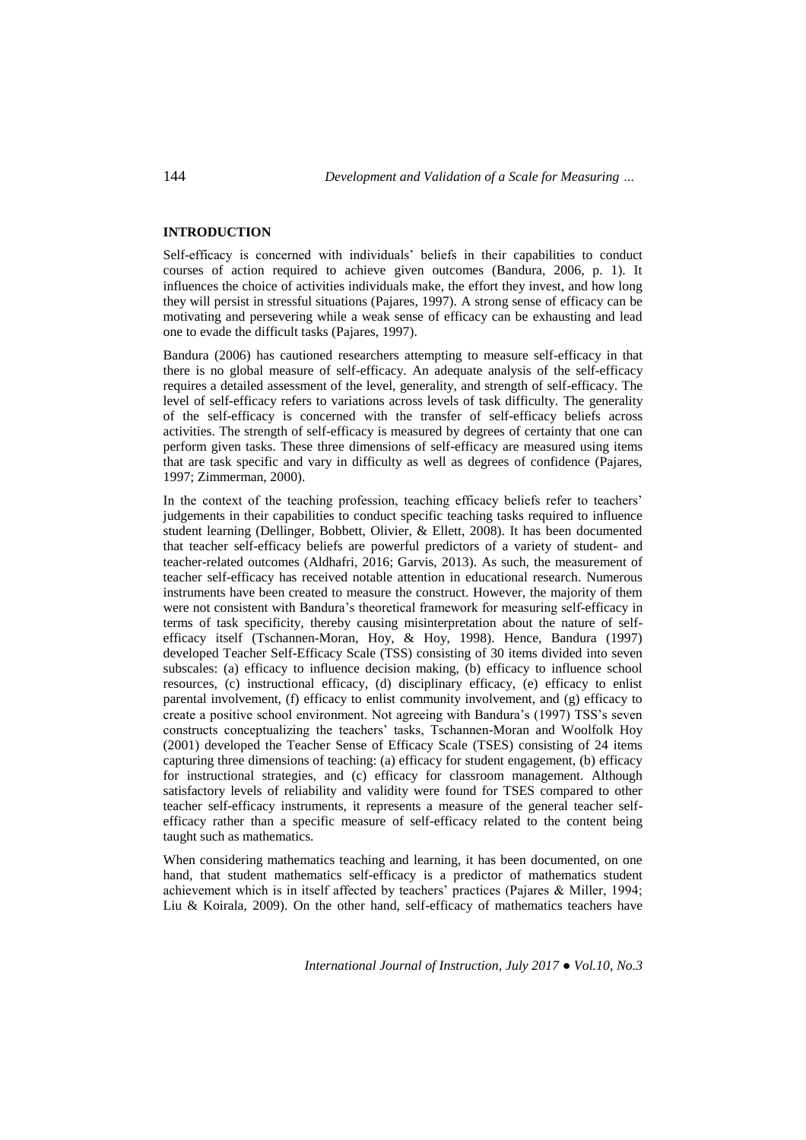## **INTRODUCTION**

Self-efficacy is concerned with individuals' beliefs in their capabilities to conduct courses of action required to achieve given outcomes (Bandura, 2006, p. 1). It influences the choice of activities individuals make, the effort they invest, and how long they will persist in stressful situations (Pajares, 1997). A strong sense of efficacy can be motivating and persevering while a weak sense of efficacy can be exhausting and lead one to evade the difficult tasks (Pajares, 1997).

Bandura (2006) has cautioned researchers attempting to measure self-efficacy in that there is no global measure of self-efficacy. An adequate analysis of the self-efficacy requires a detailed assessment of the level, generality, and strength of self-efficacy. The level of self-efficacy refers to variations across levels of task difficulty. The generality of the self-efficacy is concerned with the transfer of self-efficacy beliefs across activities. The strength of self-efficacy is measured by degrees of certainty that one can perform given tasks. These three dimensions of self-efficacy are measured using items that are task specific and vary in difficulty as well as degrees of confidence (Pajares, 1997; Zimmerman, 2000).

In the context of the teaching profession, teaching efficacy beliefs refer to teachers' judgements in their capabilities to conduct specific teaching tasks required to influence student learning (Dellinger, Bobbett, Olivier, & Ellett, 2008). It has been documented that teacher self-efficacy beliefs are powerful predictors of a variety of student- and teacher-related outcomes (Aldhafri, 2016; Garvis, 2013). As such, the measurement of teacher self-efficacy has received notable attention in educational research. Numerous instruments have been created to measure the construct. However, the majority of them were not consistent with Bandura's theoretical framework for measuring self-efficacy in terms of task specificity, thereby causing misinterpretation about the nature of selfefficacy itself (Tschannen-Moran, Hoy, & Hoy, 1998). Hence, Bandura (1997) developed Teacher Self-Efficacy Scale (TSS) consisting of 30 items divided into seven subscales: (a) efficacy to influence decision making, (b) efficacy to influence school resources, (c) instructional efficacy, (d) disciplinary efficacy, (e) efficacy to enlist parental involvement, (f) efficacy to enlist community involvement, and (g) efficacy to create a positive school environment. Not agreeing with Bandura's (1997) TSS's seven constructs conceptualizing the teachers' tasks, Tschannen-Moran and Woolfolk Hoy (2001) developed the Teacher Sense of Efficacy Scale (TSES) consisting of 24 items capturing three dimensions of teaching: (a) efficacy for student engagement, (b) efficacy for instructional strategies, and (c) efficacy for classroom management. Although satisfactory levels of reliability and validity were found for TSES compared to other teacher self-efficacy instruments, it represents a measure of the general teacher selfefficacy rather than a specific measure of self-efficacy related to the content being taught such as mathematics.

When considering mathematics teaching and learning, it has been documented, on one hand, that student mathematics self-efficacy is a predictor of mathematics student achievement which is in itself affected by teachers' practices (Pajares & Miller, 1994; Liu & Koirala, 2009). On the other hand, self-efficacy of mathematics teachers have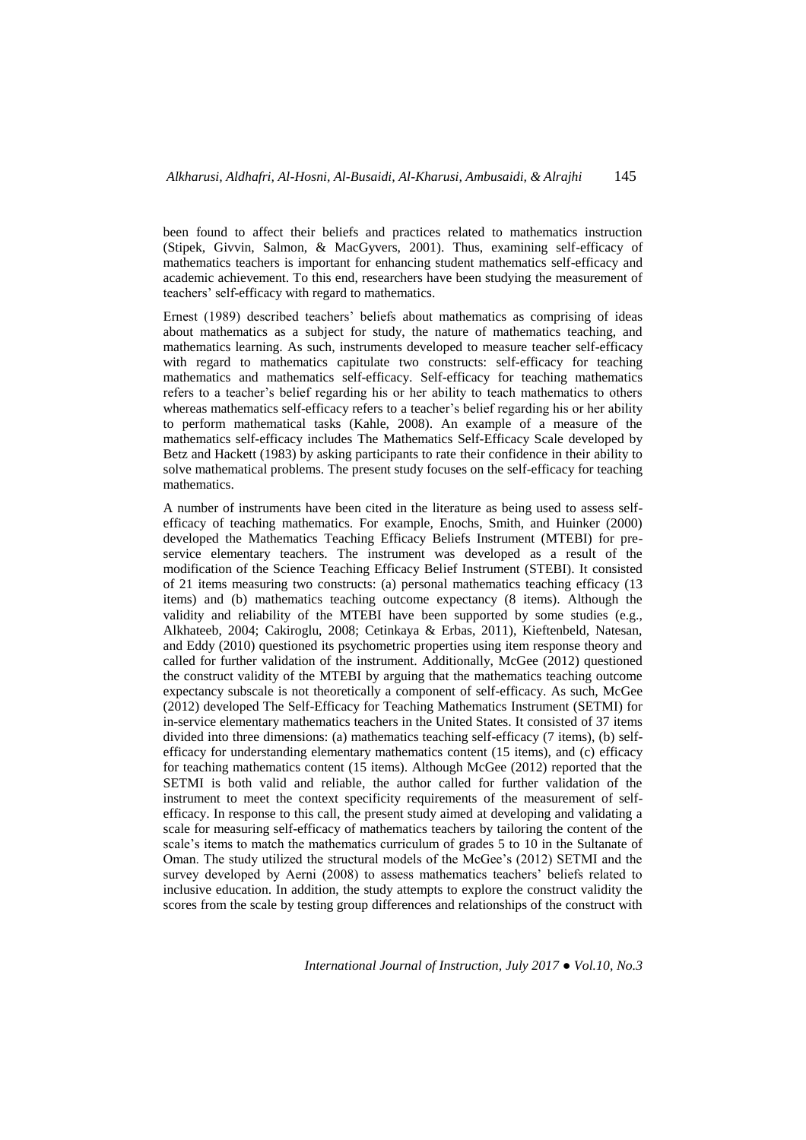been found to affect their beliefs and practices related to mathematics instruction (Stipek, Givvin, Salmon, & MacGyvers, 2001). Thus, examining self-efficacy of mathematics teachers is important for enhancing student mathematics self-efficacy and academic achievement. To this end, researchers have been studying the measurement of teachers' self-efficacy with regard to mathematics.

Ernest (1989) described teachers' beliefs about mathematics as comprising of ideas about mathematics as a subject for study, the nature of mathematics teaching, and mathematics learning. As such, instruments developed to measure teacher self-efficacy with regard to mathematics capitulate two constructs: self-efficacy for teaching mathematics and mathematics self-efficacy. Self-efficacy for teaching mathematics refers to a teacher's belief regarding his or her ability to teach mathematics to others whereas mathematics self-efficacy refers to a teacher's belief regarding his or her ability to perform mathematical tasks (Kahle, 2008). An example of a measure of the mathematics self-efficacy includes The Mathematics Self-Efficacy Scale developed by Betz and Hackett (1983) by asking participants to rate their confidence in their ability to solve mathematical problems. The present study focuses on the self-efficacy for teaching mathematics.

A number of instruments have been cited in the literature as being used to assess selfefficacy of teaching mathematics. For example, Enochs, Smith, and Huinker (2000) developed the Mathematics Teaching Efficacy Beliefs Instrument (MTEBI) for preservice elementary teachers. The instrument was developed as a result of the modification of the Science Teaching Efficacy Belief Instrument (STEBI). It consisted of 21 items measuring two constructs: (a) personal mathematics teaching efficacy (13 items) and (b) mathematics teaching outcome expectancy (8 items). Although the validity and reliability of the MTEBI have been supported by some studies (e.g., Alkhateeb, 2004; Cakiroglu, 2008; Cetinkaya & Erbas, 2011), Kieftenbeld, Natesan, and Eddy (2010) questioned its psychometric properties using item response theory and called for further validation of the instrument. Additionally, McGee (2012) questioned the construct validity of the MTEBI by arguing that the mathematics teaching outcome expectancy subscale is not theoretically a component of self-efficacy. As such, McGee (2012) developed The Self-Efficacy for Teaching Mathematics Instrument (SETMI) for in-service elementary mathematics teachers in the United States. It consisted of 37 items divided into three dimensions: (a) mathematics teaching self-efficacy (7 items), (b) selfefficacy for understanding elementary mathematics content (15 items), and (c) efficacy for teaching mathematics content (15 items). Although McGee (2012) reported that the SETMI is both valid and reliable, the author called for further validation of the instrument to meet the context specificity requirements of the measurement of selfefficacy. In response to this call, the present study aimed at developing and validating a scale for measuring self-efficacy of mathematics teachers by tailoring the content of the scale's items to match the mathematics curriculum of grades 5 to 10 in the Sultanate of Oman. The study utilized the structural models of the McGee's (2012) SETMI and the survey developed by Aerni (2008) to assess mathematics teachers' beliefs related to inclusive education. In addition, the study attempts to explore the construct validity the scores from the scale by testing group differences and relationships of the construct with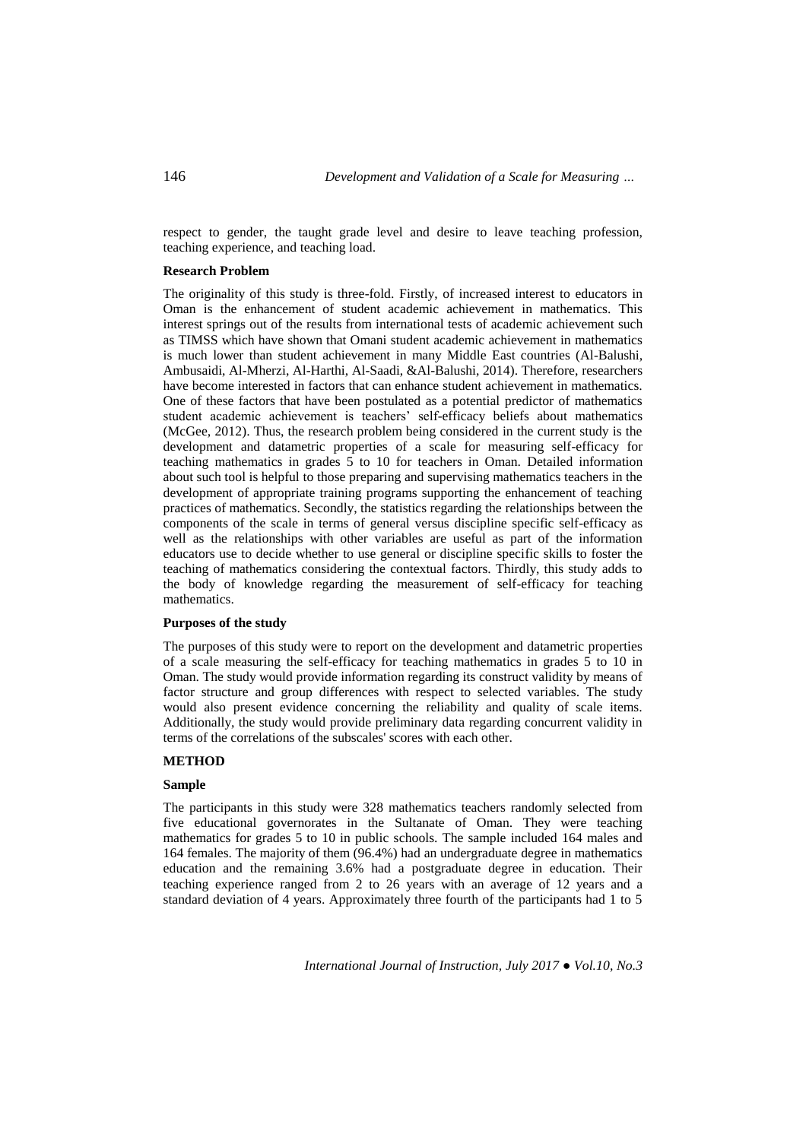respect to gender, the taught grade level and desire to leave teaching profession, teaching experience, and teaching load.

### **Research Problem**

The originality of this study is three-fold. Firstly, of increased interest to educators in Oman is the enhancement of student academic achievement in mathematics. This interest springs out of the results from international tests of academic achievement such as TIMSS which have shown that Omani student academic achievement in mathematics is much lower than student achievement in many Middle East countries (Al-Balushi, Ambusaidi, Al-Mherzi, Al-Harthi, Al-Saadi, &Al-Balushi, 2014). Therefore, researchers have become interested in factors that can enhance student achievement in mathematics. One of these factors that have been postulated as a potential predictor of mathematics student academic achievement is teachers' self-efficacy beliefs about mathematics (McGee, 2012). Thus, the research problem being considered in the current study is the development and datametric properties of a scale for measuring self-efficacy for teaching mathematics in grades 5 to 10 for teachers in Oman. Detailed information about such tool is helpful to those preparing and supervising mathematics teachers in the development of appropriate training programs supporting the enhancement of teaching practices of mathematics. Secondly, the statistics regarding the relationships between the components of the scale in terms of general versus discipline specific self-efficacy as well as the relationships with other variables are useful as part of the information educators use to decide whether to use general or discipline specific skills to foster the teaching of mathematics considering the contextual factors. Thirdly, this study adds to the body of knowledge regarding the measurement of self-efficacy for teaching mathematics.

## **Purposes of the study**

The purposes of this study were to report on the development and datametric properties of a scale measuring the self-efficacy for teaching mathematics in grades 5 to 10 in Oman. The study would provide information regarding its construct validity by means of factor structure and group differences with respect to selected variables. The study would also present evidence concerning the reliability and quality of scale items. Additionally, the study would provide preliminary data regarding concurrent validity in terms of the correlations of the subscales' scores with each other.

# **METHOD**

### **Sample**

The participants in this study were 328 mathematics teachers randomly selected from five educational governorates in the Sultanate of Oman. They were teaching mathematics for grades 5 to 10 in public schools. The sample included 164 males and 164 females. The majority of them (96.4%) had an undergraduate degree in mathematics education and the remaining 3.6% had a postgraduate degree in education. Their teaching experience ranged from 2 to 26 years with an average of 12 years and a standard deviation of 4 years. Approximately three fourth of the participants had 1 to 5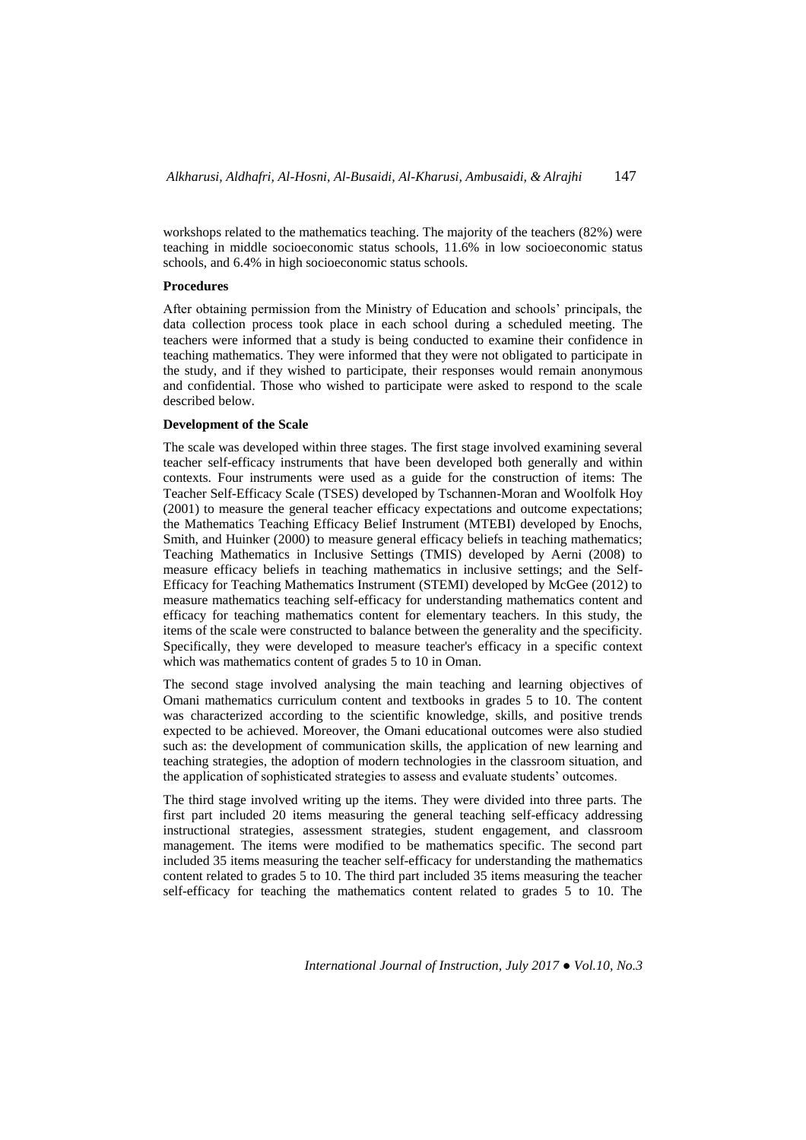workshops related to the mathematics teaching. The majority of the teachers (82%) were teaching in middle socioeconomic status schools, 11.6% in low socioeconomic status schools, and 6.4% in high socioeconomic status schools.

### **Procedures**

After obtaining permission from the Ministry of Education and schools' principals, the data collection process took place in each school during a scheduled meeting. The teachers were informed that a study is being conducted to examine their confidence in teaching mathematics. They were informed that they were not obligated to participate in the study, and if they wished to participate, their responses would remain anonymous and confidential. Those who wished to participate were asked to respond to the scale described below.

### **Development of the Scale**

The scale was developed within three stages*.* The first stage involved examining several teacher self-efficacy instruments that have been developed both generally and within contexts. Four instruments were used as a guide for the construction of items: The Teacher Self-Efficacy Scale (TSES) developed by Tschannen-Moran and Woolfolk Hoy (2001) to measure the general teacher efficacy expectations and outcome expectations; the Mathematics Teaching Efficacy Belief Instrument (MTEBI) developed by Enochs, Smith, and Huinker (2000) to measure general efficacy beliefs in teaching mathematics; Teaching Mathematics in Inclusive Settings (TMIS) developed by Aerni (2008) to measure efficacy beliefs in teaching mathematics in inclusive settings; and the Self-Efficacy for Teaching Mathematics Instrument (STEMI) developed by McGee (2012) to measure mathematics teaching self-efficacy for understanding mathematics content and efficacy for teaching mathematics content for elementary teachers. In this study, the items of the scale were constructed to balance between the generality and the specificity. Specifically, they were developed to measure teacher's efficacy in a specific context which was mathematics content of grades 5 to 10 in Oman.

The second stage involved analysing the main teaching and learning objectives of Omani mathematics curriculum content and textbooks in grades 5 to 10. The content was characterized according to the scientific knowledge, skills, and positive trends expected to be achieved. Moreover, the Omani educational outcomes were also studied such as: the development of communication skills, the application of new learning and teaching strategies, the adoption of modern technologies in the classroom situation, and the application of sophisticated strategies to assess and evaluate students' outcomes.

The third stage involved writing up the items. They were divided into three parts. The first part included 20 items measuring the general teaching self-efficacy addressing instructional strategies, assessment strategies, student engagement, and classroom management. The items were modified to be mathematics specific. The second part included 35 items measuring the teacher self-efficacy for understanding the mathematics content related to grades 5 to 10. The third part included 35 items measuring the teacher self-efficacy for teaching the mathematics content related to grades 5 to 10. The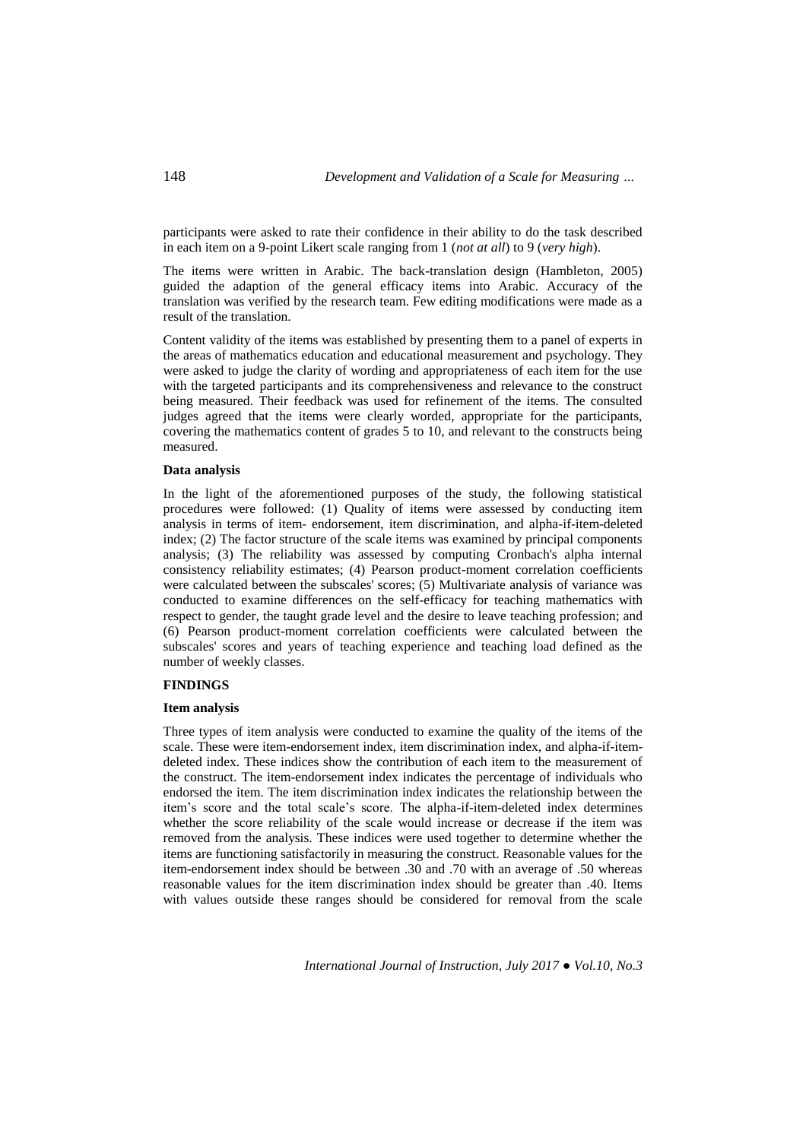participants were asked to rate their confidence in their ability to do the task described in each item on a 9-point Likert scale ranging from 1 (*not at all*) to 9 (*very high*).

The items were written in Arabic. The back-translation design (Hambleton, 2005) guided the adaption of the general efficacy items into Arabic. Accuracy of the translation was verified by the research team. Few editing modifications were made as a result of the translation.

Content validity of the items was established by presenting them to a panel of experts in the areas of mathematics education and educational measurement and psychology. They were asked to judge the clarity of wording and appropriateness of each item for the use with the targeted participants and its comprehensiveness and relevance to the construct being measured. Their feedback was used for refinement of the items. The consulted judges agreed that the items were clearly worded, appropriate for the participants, covering the mathematics content of grades 5 to 10, and relevant to the constructs being measured.

## **Data analysis**

In the light of the aforementioned purposes of the study, the following statistical procedures were followed: (1) Quality of items were assessed by conducting item analysis in terms of item- endorsement, item discrimination, and alpha-if-item-deleted index; (2) The factor structure of the scale items was examined by principal components analysis; (3) The reliability was assessed by computing Cronbach's alpha internal consistency reliability estimates; (4) Pearson product-moment correlation coefficients were calculated between the subscales' scores; (5) Multivariate analysis of variance was conducted to examine differences on the self-efficacy for teaching mathematics with respect to gender, the taught grade level and the desire to leave teaching profession; and (6) Pearson product-moment correlation coefficients were calculated between the subscales' scores and years of teaching experience and teaching load defined as the number of weekly classes.

# **FINDINGS**

### **Item analysis**

Three types of item analysis were conducted to examine the quality of the items of the scale. These were item-endorsement index, item discrimination index, and alpha-if-itemdeleted index. These indices show the contribution of each item to the measurement of the construct. The item-endorsement index indicates the percentage of individuals who endorsed the item. The item discrimination index indicates the relationship between the item's score and the total scale's score. The alpha-if-item-deleted index determines whether the score reliability of the scale would increase or decrease if the item was removed from the analysis. These indices were used together to determine whether the items are functioning satisfactorily in measuring the construct. Reasonable values for the item-endorsement index should be between .30 and .70 with an average of .50 whereas reasonable values for the item discrimination index should be greater than .40. Items with values outside these ranges should be considered for removal from the scale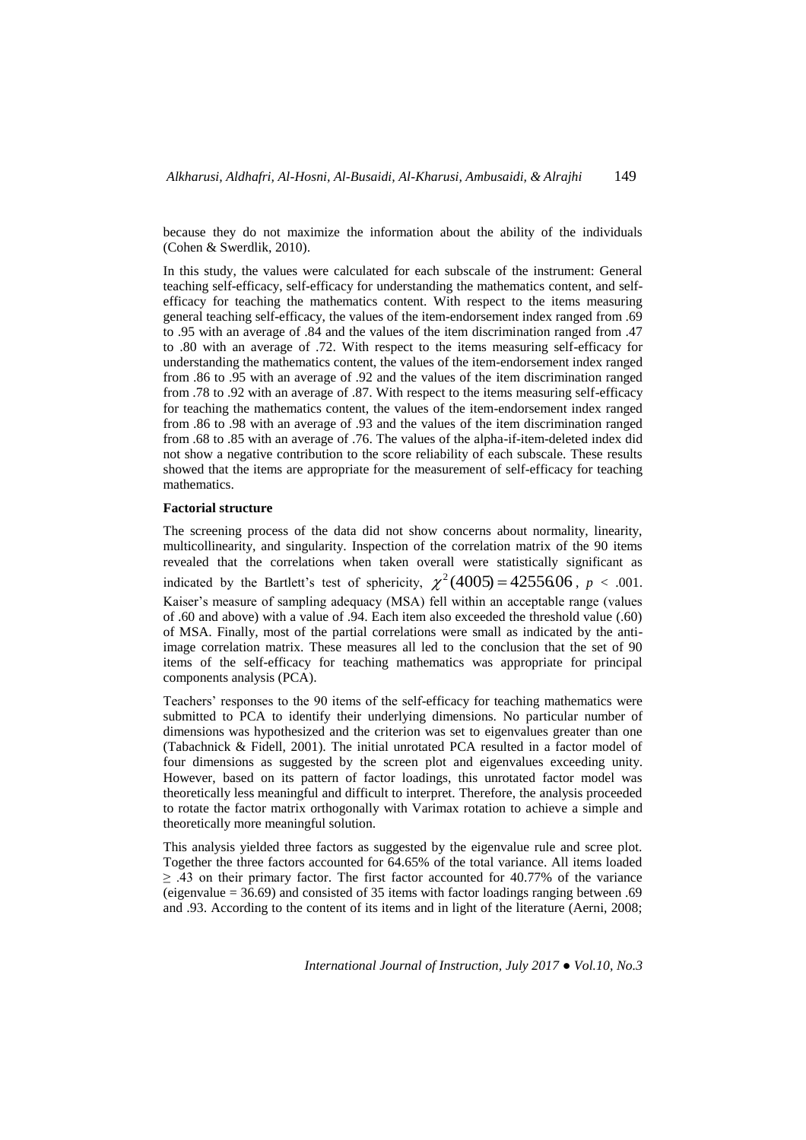because they do not maximize the information about the ability of the individuals (Cohen & Swerdlik, 2010).

In this study, the values were calculated for each subscale of the instrument: General teaching self-efficacy, self-efficacy for understanding the mathematics content, and selfefficacy for teaching the mathematics content. With respect to the items measuring general teaching self-efficacy, the values of the item-endorsement index ranged from .69 to .95 with an average of .84 and the values of the item discrimination ranged from .47 to .80 with an average of .72. With respect to the items measuring self-efficacy for understanding the mathematics content, the values of the item-endorsement index ranged from .86 to .95 with an average of .92 and the values of the item discrimination ranged from .78 to .92 with an average of .87. With respect to the items measuring self-efficacy for teaching the mathematics content, the values of the item-endorsement index ranged from .86 to .98 with an average of .93 and the values of the item discrimination ranged from .68 to .85 with an average of .76. The values of the alpha-if-item-deleted index did not show a negative contribution to the score reliability of each subscale. These results showed that the items are appropriate for the measurement of self-efficacy for teaching mathematics.

### **Factorial structure**

The screening process of the data did not show concerns about normality, linearity, multicollinearity, and singularity. Inspection of the correlation matrix of the 90 items revealed that the correlations when taken overall were statistically significant as indicated by the Bartlett's test of sphericity,  $\chi^2(4005) = 42556.06$ ,  $p < .001$ . Kaiser's measure of sampling adequacy (MSA) fell within an acceptable range (values of .60 and above) with a value of .94. Each item also exceeded the threshold value (.60) of MSA. Finally, most of the partial correlations were small as indicated by the antiimage correlation matrix. These measures all led to the conclusion that the set of 90 items of the self-efficacy for teaching mathematics was appropriate for principal components analysis (PCA).

Teachers' responses to the 90 items of the self-efficacy for teaching mathematics were submitted to PCA to identify their underlying dimensions. No particular number of dimensions was hypothesized and the criterion was set to eigenvalues greater than one (Tabachnick & Fidell, 2001). The initial unrotated PCA resulted in a factor model of four dimensions as suggested by the screen plot and eigenvalues exceeding unity. However, based on its pattern of factor loadings, this unrotated factor model was theoretically less meaningful and difficult to interpret. Therefore, the analysis proceeded to rotate the factor matrix orthogonally with Varimax rotation to achieve a simple and theoretically more meaningful solution.

This analysis yielded three factors as suggested by the eigenvalue rule and scree plot. Together the three factors accounted for 64.65% of the total variance. All items loaded  $\geq$  .43 on their primary factor. The first factor accounted for 40.77% of the variance (eigenvalue = 36.69) and consisted of 35 items with factor loadings ranging between .69 and .93. According to the content of its items and in light of the literature (Aerni, 2008;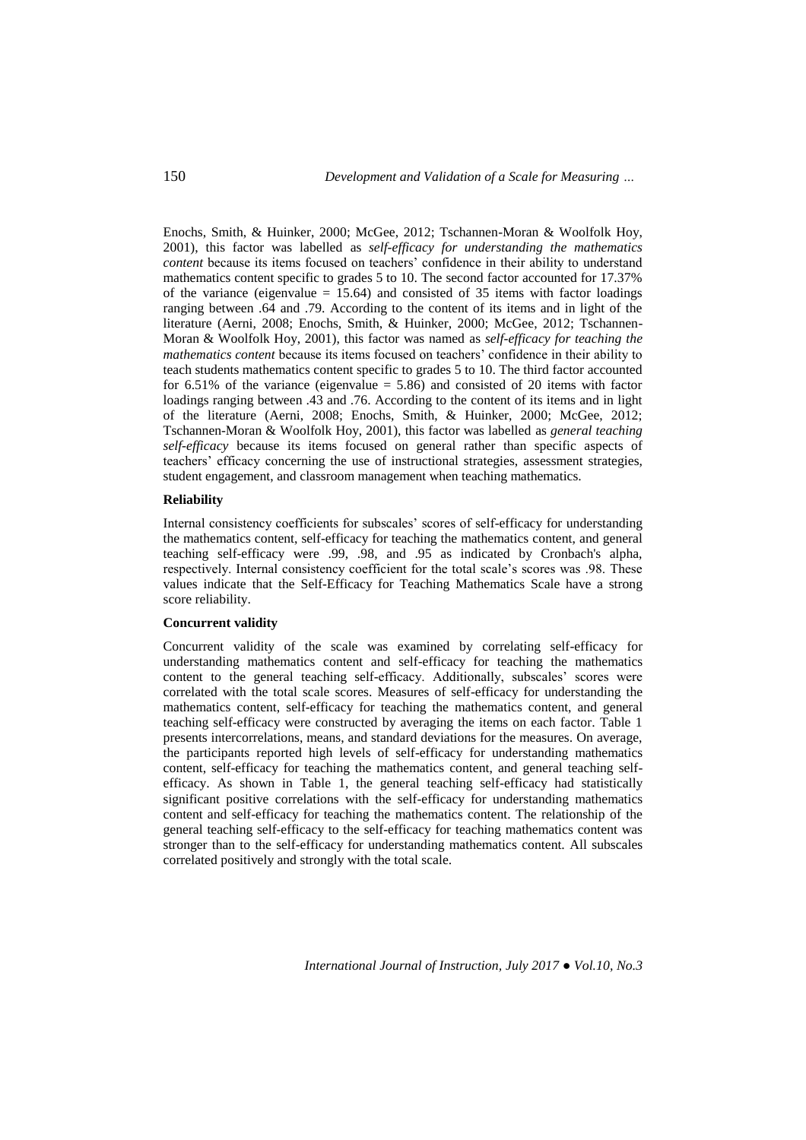150 *Development and Validation of a Scale for Measuring …*

Enochs, Smith, & Huinker, 2000; McGee, 2012; Tschannen-Moran & Woolfolk Hoy, 2001), this factor was labelled as *self-efficacy for understanding the mathematics content* because its items focused on teachers' confidence in their ability to understand mathematics content specific to grades 5 to 10. The second factor accounted for 17.37% of the variance (eigenvalue  $= 15.64$ ) and consisted of 35 items with factor loadings ranging between .64 and .79. According to the content of its items and in light of the literature (Aerni, 2008; Enochs, Smith, & Huinker, 2000; McGee, 2012; Tschannen-Moran & Woolfolk Hoy, 2001), this factor was named as *self-efficacy for teaching the mathematics content* because its items focused on teachers' confidence in their ability to teach students mathematics content specific to grades 5 to 10. The third factor accounted for  $6.51\%$  of the variance (eigenvalue = 5.86) and consisted of 20 items with factor loadings ranging between .43 and .76. According to the content of its items and in light of the literature (Aerni, 2008; Enochs, Smith, & Huinker, 2000; McGee, 2012; Tschannen-Moran & Woolfolk Hoy, 2001), this factor was labelled as *general teaching self-efficacy* because its items focused on general rather than specific aspects of teachers' efficacy concerning the use of instructional strategies, assessment strategies, student engagement, and classroom management when teaching mathematics.

### **Reliability**

Internal consistency coefficients for subscales' scores of self-efficacy for understanding the mathematics content, self-efficacy for teaching the mathematics content, and general teaching self-efficacy were .99, .98, and .95 as indicated by Cronbach's alpha, respectively. Internal consistency coefficient for the total scale's scores was .98. These values indicate that the Self-Efficacy for Teaching Mathematics Scale have a strong score reliability.

## **Concurrent validity**

Concurrent validity of the scale was examined by correlating self-efficacy for understanding mathematics content and self-efficacy for teaching the mathematics content to the general teaching self-efficacy. Additionally, subscales' scores were correlated with the total scale scores. Measures of self-efficacy for understanding the mathematics content, self-efficacy for teaching the mathematics content, and general teaching self-efficacy were constructed by averaging the items on each factor. Table 1 presents intercorrelations, means, and standard deviations for the measures. On average, the participants reported high levels of self-efficacy for understanding mathematics content, self-efficacy for teaching the mathematics content, and general teaching selfefficacy. As shown in Table 1, the general teaching self-efficacy had statistically significant positive correlations with the self-efficacy for understanding mathematics content and self-efficacy for teaching the mathematics content. The relationship of the general teaching self-efficacy to the self-efficacy for teaching mathematics content was stronger than to the self-efficacy for understanding mathematics content. All subscales correlated positively and strongly with the total scale.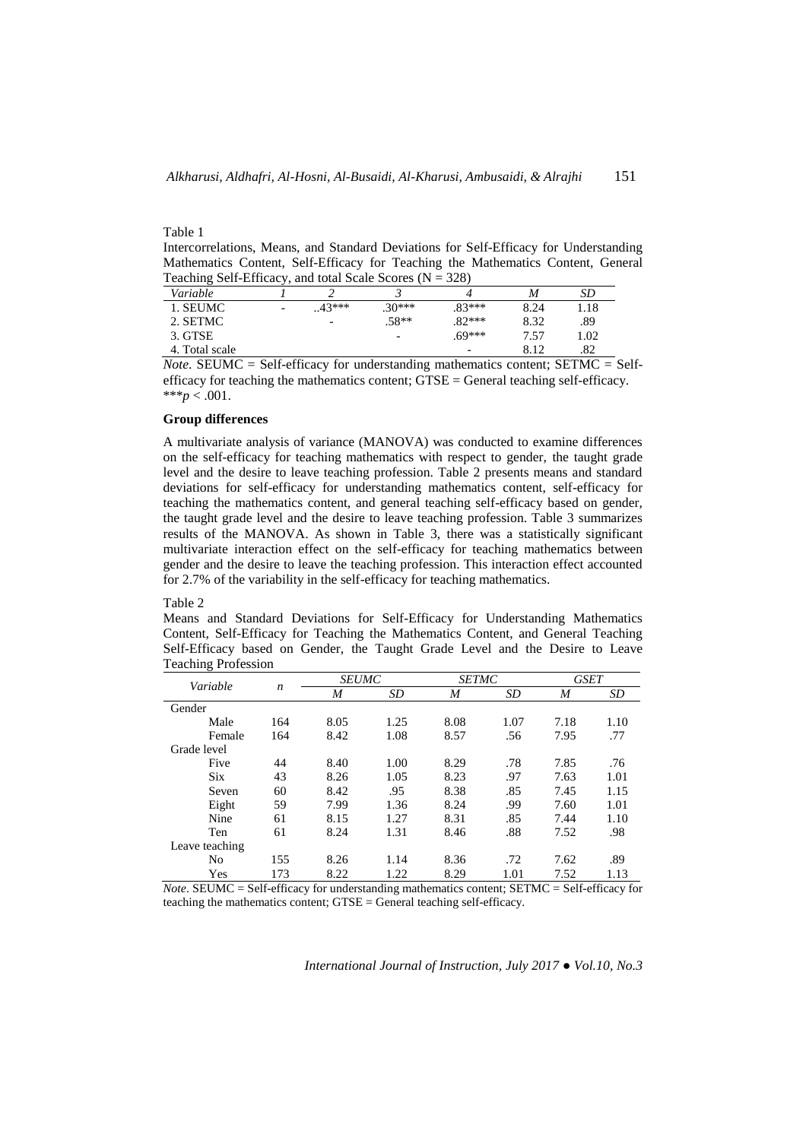#### Table 1

Intercorrelations, Means, and Standard Deviations for Self-Efficacy for Understanding Mathematics Content, Self-Efficacy for Teaching the Mathematics Content, General Teaching Self-Efficacy, and total Scale Scores  $(N = 328)$ 

| .              |                          |                          |                          |                          |      |      |
|----------------|--------------------------|--------------------------|--------------------------|--------------------------|------|------|
| Variable       |                          |                          |                          |                          | M    | SD   |
| 1. SEUMC       | $\overline{\phantom{0}}$ | $.43***$                 | $.30***$                 | $.83***$                 | 8.24 | 1.18 |
| 2. SETMC       |                          | $\overline{\phantom{0}}$ | $.58**$                  | $.82***$                 | 8.32 | .89  |
| 3. GTSE        |                          |                          | $\overline{\phantom{0}}$ | $.69***$                 | 7.57 | 1.02 |
| 4. Total scale |                          |                          |                          | $\overline{\phantom{0}}$ | 8.12 | .82  |

*Note*. SEUMC = Self-efficacy for understanding mathematics content; SETMC = Selfefficacy for teaching the mathematics content; GTSE = General teaching self-efficacy. \*\*\**p* < .001.

## **Group differences**

A multivariate analysis of variance (MANOVA) was conducted to examine differences on the self-efficacy for teaching mathematics with respect to gender, the taught grade level and the desire to leave teaching profession. Table 2 presents means and standard deviations for self-efficacy for understanding mathematics content, self-efficacy for teaching the mathematics content, and general teaching self-efficacy based on gender, the taught grade level and the desire to leave teaching profession. Table 3 summarizes results of the MANOVA. As shown in Table 3, there was a statistically significant multivariate interaction effect on the self-efficacy for teaching mathematics between gender and the desire to leave the teaching profession. This interaction effect accounted for 2.7% of the variability in the self-efficacy for teaching mathematics.

# Table 2

Means and Standard Deviations for Self-Efficacy for Understanding Mathematics Content, Self-Efficacy for Teaching the Mathematics Content, and General Teaching Self-Efficacy based on Gender, the Taught Grade Level and the Desire to Leave Teaching Profession

| Variable       | $\boldsymbol{n}$ | <b>SEUMC</b> |      | <b>SETMC</b> |      | <b>GSET</b> |      |
|----------------|------------------|--------------|------|--------------|------|-------------|------|
|                |                  | M            | SD   | M            | SD   | M           | SD   |
| Gender         |                  |              |      |              |      |             |      |
| Male           | 164              | 8.05         | 1.25 | 8.08         | 1.07 | 7.18        | 1.10 |
| Female         | 164              | 8.42         | 1.08 | 8.57         | .56  | 7.95        | .77  |
| Grade level    |                  |              |      |              |      |             |      |
| Five           | 44               | 8.40         | 1.00 | 8.29         | .78  | 7.85        | .76  |
| <b>Six</b>     | 43               | 8.26         | 1.05 | 8.23         | .97  | 7.63        | 1.01 |
| Seven          | 60               | 8.42         | .95  | 8.38         | .85  | 7.45        | 1.15 |
| Eight          | 59               | 7.99         | 1.36 | 8.24         | .99  | 7.60        | 1.01 |
| Nine           | 61               | 8.15         | 1.27 | 8.31         | .85  | 7.44        | 1.10 |
| Ten            | 61               | 8.24         | 1.31 | 8.46         | .88  | 7.52        | .98  |
| Leave teaching |                  |              |      |              |      |             |      |
| No             | 155              | 8.26         | 1.14 | 8.36         | .72  | 7.62        | .89  |
| Yes            | 173              | 8.22         | 1.22 | 8.29         | 1.01 | 7.52        | 1.13 |

*Note*. SEUMC = Self-efficacy for understanding mathematics content; SETMC = Self-efficacy for teaching the mathematics content; GTSE = General teaching self-efficacy.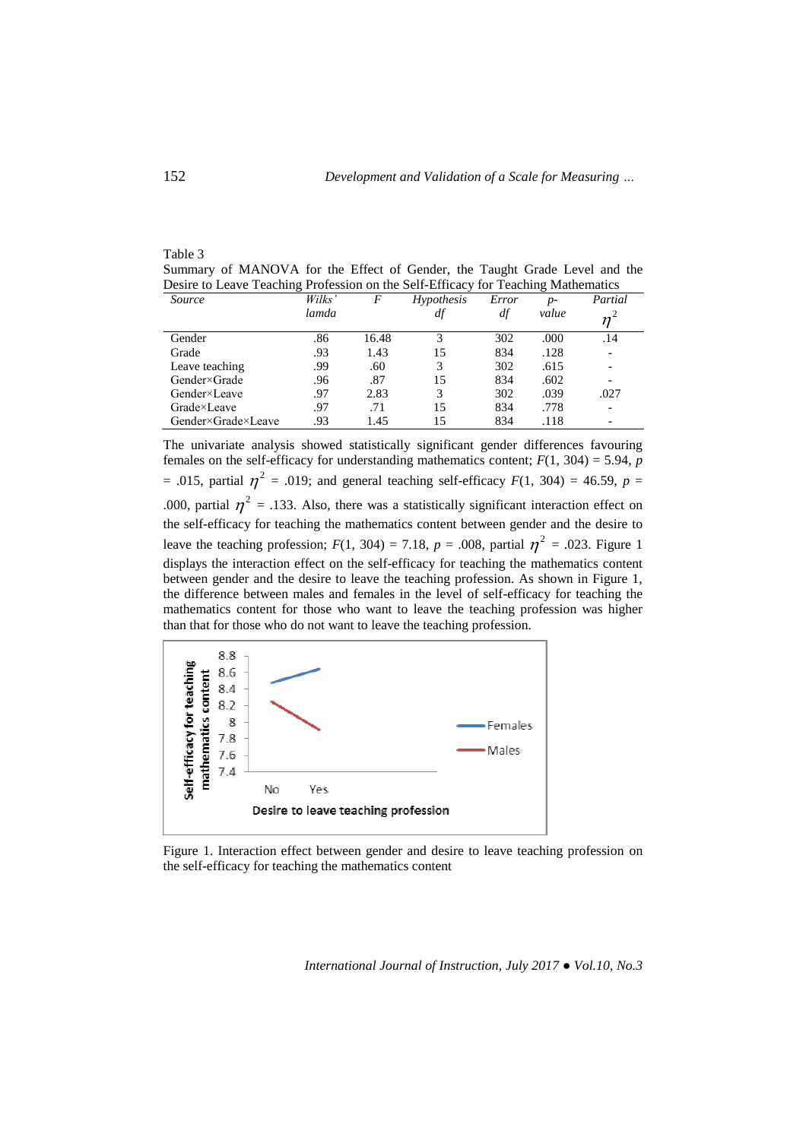#### Table 3

Summary of MANOVA for the Effect of Gender, the Taught Grade Level and the Desire to Leave Teaching Profession on the Self-Efficacy for Teaching Mathematics

| Source             | Wilks' | F     | Hypothesis | Error | $p-$  | Partial |
|--------------------|--------|-------|------------|-------|-------|---------|
|                    | lamda  |       | df         | df    | value | $n^2$   |
| Gender             | .86    | 16.48 |            | 302   | .000  | .14     |
| Grade              | .93    | 1.43  | 15         | 834   | .128  |         |
| Leave teaching     | .99    | .60   |            | 302   | .615  |         |
| Gender×Grade       | .96    | .87   | 15         | 834   | .602  |         |
| Gender×Leave       | .97    | 2.83  |            | 302   | .039  | .027    |
| Grade×Leave        | .97    | .71   | 15         | 834   | .778  |         |
| Gender×Grade×Leave | .93    | 1.45  | 15         | 834   | .118  |         |

The univariate analysis showed statistically significant gender differences favouring females on the self-efficacy for understanding mathematics content;  $F(1, 304) = 5.94$ ,  $p$  $= .015$ , partial  $\eta^2 = .019$ ; and general teaching self-efficacy  $F(1, 304) = 46.59$ ,  $p =$ .000, partial  $\eta^2$  = .133. Also, there was a statistically significant interaction effect on the self-efficacy for teaching the mathematics content between gender and the desire to leave the teaching profession;  $F(1, 304) = 7.18$ ,  $p = .008$ , partial  $\eta^2 = .023$ . Figure 1 displays the interaction effect on the self-efficacy for teaching the mathematics content between gender and the desire to leave the teaching profession. As shown in Figure 1, the difference between males and females in the level of self-efficacy for teaching the mathematics content for those who want to leave the teaching profession was higher than that for those who do not want to leave the teaching profession.



Figure 1. Interaction effect between gender and desire to leave teaching profession on the self-efficacy for teaching the mathematics content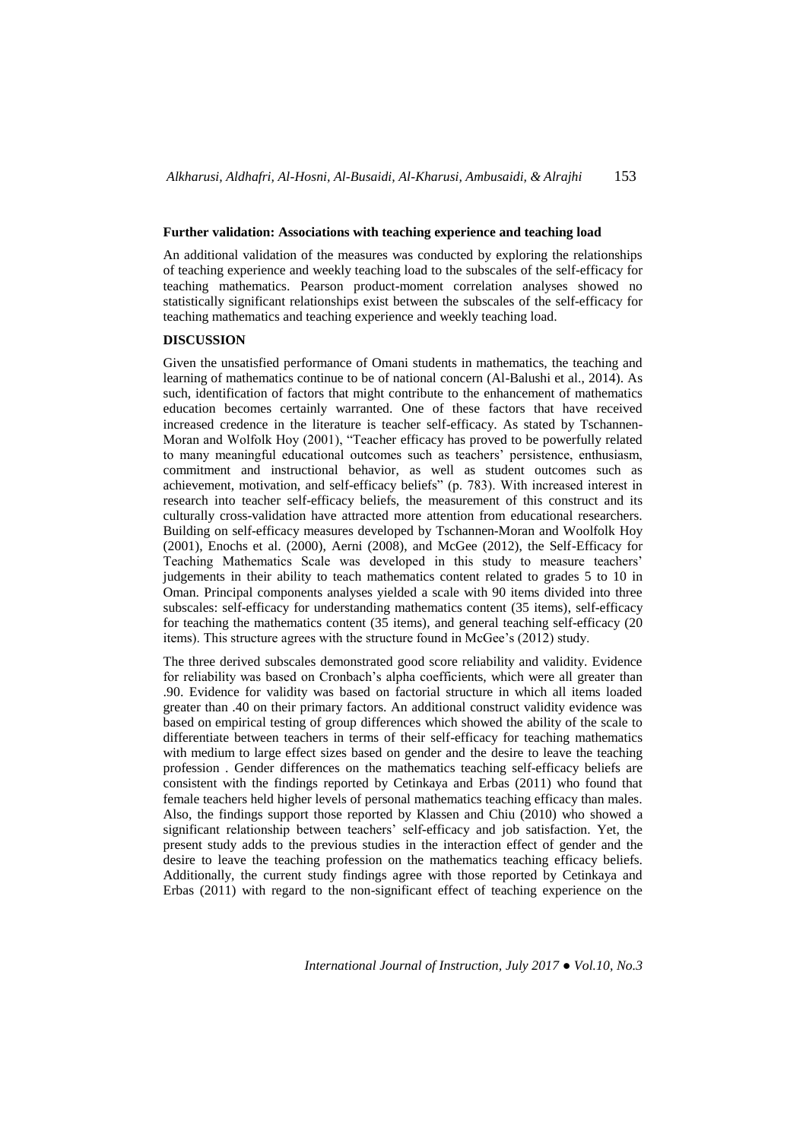### **Further validation: Associations with teaching experience and teaching load**

An additional validation of the measures was conducted by exploring the relationships of teaching experience and weekly teaching load to the subscales of the self-efficacy for teaching mathematics. Pearson product-moment correlation analyses showed no statistically significant relationships exist between the subscales of the self-efficacy for teaching mathematics and teaching experience and weekly teaching load.

# **DISCUSSION**

Given the unsatisfied performance of Omani students in mathematics, the teaching and learning of mathematics continue to be of national concern (Al-Balushi et al., 2014). As such, identification of factors that might contribute to the enhancement of mathematics education becomes certainly warranted. One of these factors that have received increased credence in the literature is teacher self-efficacy. As stated by Tschannen-Moran and Wolfolk Hoy (2001), "Teacher efficacy has proved to be powerfully related to many meaningful educational outcomes such as teachers' persistence, enthusiasm, commitment and instructional behavior, as well as student outcomes such as achievement, motivation, and self-efficacy beliefs" (p. 783). With increased interest in research into teacher self-efficacy beliefs, the measurement of this construct and its culturally cross-validation have attracted more attention from educational researchers. Building on self-efficacy measures developed by Tschannen-Moran and Woolfolk Hoy (2001), Enochs et al. (2000), Aerni (2008), and McGee (2012), the Self-Efficacy for Teaching Mathematics Scale was developed in this study to measure teachers' judgements in their ability to teach mathematics content related to grades 5 to 10 in Oman. Principal components analyses yielded a scale with 90 items divided into three subscales: self-efficacy for understanding mathematics content (35 items), self-efficacy for teaching the mathematics content (35 items), and general teaching self-efficacy (20 items). This structure agrees with the structure found in McGee's (2012) study.

The three derived subscales demonstrated good score reliability and validity. Evidence for reliability was based on Cronbach's alpha coefficients, which were all greater than .90. Evidence for validity was based on factorial structure in which all items loaded greater than .40 on their primary factors. An additional construct validity evidence was based on empirical testing of group differences which showed the ability of the scale to differentiate between teachers in terms of their self-efficacy for teaching mathematics with medium to large effect sizes based on gender and the desire to leave the teaching profession . Gender differences on the mathematics teaching self-efficacy beliefs are consistent with the findings reported by Cetinkaya and Erbas (2011) who found that female teachers held higher levels of personal mathematics teaching efficacy than males. Also, the findings support those reported by Klassen and Chiu (2010) who showed a significant relationship between teachers' self-efficacy and job satisfaction. Yet, the present study adds to the previous studies in the interaction effect of gender and the desire to leave the teaching profession on the mathematics teaching efficacy beliefs. Additionally, the current study findings agree with those reported by Cetinkaya and Erbas (2011) with regard to the non-significant effect of teaching experience on the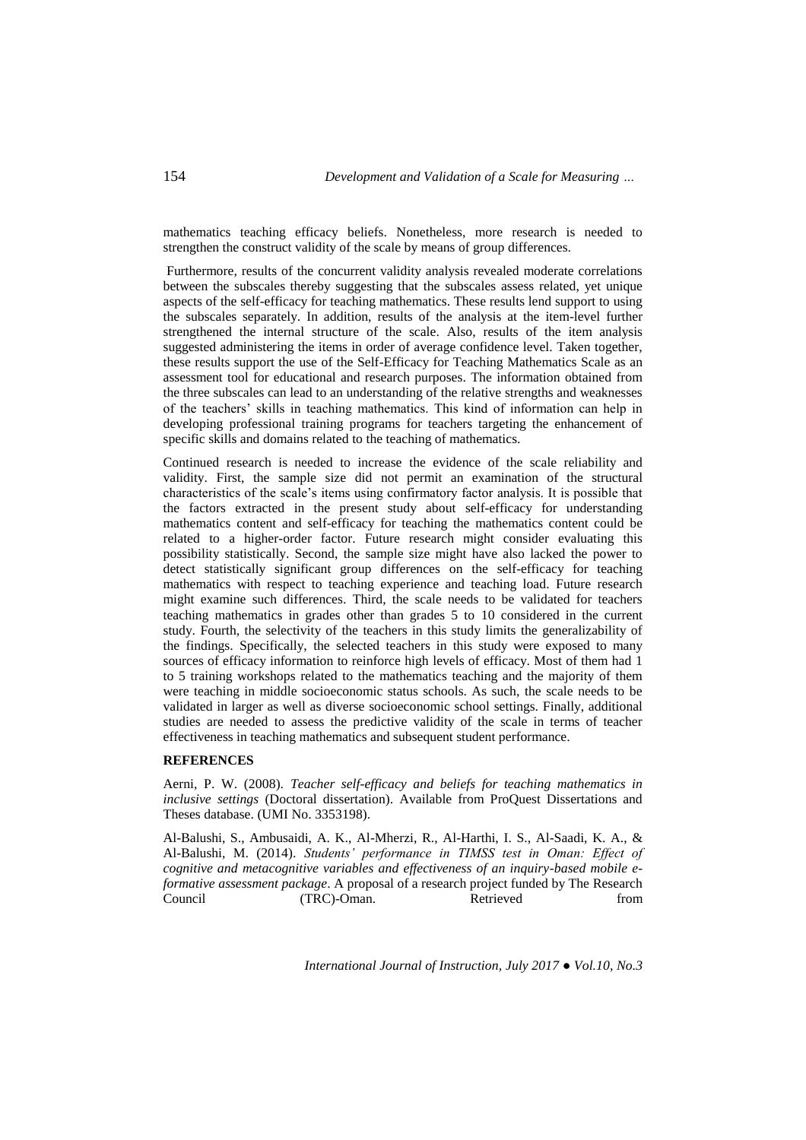mathematics teaching efficacy beliefs. Nonetheless, more research is needed to strengthen the construct validity of the scale by means of group differences.

Furthermore, results of the concurrent validity analysis revealed moderate correlations between the subscales thereby suggesting that the subscales assess related, yet unique aspects of the self-efficacy for teaching mathematics. These results lend support to using the subscales separately. In addition, results of the analysis at the item-level further strengthened the internal structure of the scale. Also, results of the item analysis suggested administering the items in order of average confidence level. Taken together, these results support the use of the Self-Efficacy for Teaching Mathematics Scale as an assessment tool for educational and research purposes. The information obtained from the three subscales can lead to an understanding of the relative strengths and weaknesses of the teachers' skills in teaching mathematics. This kind of information can help in developing professional training programs for teachers targeting the enhancement of specific skills and domains related to the teaching of mathematics.

Continued research is needed to increase the evidence of the scale reliability and validity. First, the sample size did not permit an examination of the structural characteristics of the scale's items using confirmatory factor analysis. It is possible that the factors extracted in the present study about self-efficacy for understanding mathematics content and self-efficacy for teaching the mathematics content could be related to a higher-order factor. Future research might consider evaluating this possibility statistically. Second, the sample size might have also lacked the power to detect statistically significant group differences on the self-efficacy for teaching mathematics with respect to teaching experience and teaching load. Future research might examine such differences. Third, the scale needs to be validated for teachers teaching mathematics in grades other than grades 5 to 10 considered in the current study. Fourth, the selectivity of the teachers in this study limits the generalizability of the findings. Specifically, the selected teachers in this study were exposed to many sources of efficacy information to reinforce high levels of efficacy. Most of them had 1 to 5 training workshops related to the mathematics teaching and the majority of them were teaching in middle socioeconomic status schools. As such, the scale needs to be validated in larger as well as diverse socioeconomic school settings. Finally, additional studies are needed to assess the predictive validity of the scale in terms of teacher effectiveness in teaching mathematics and subsequent student performance.

## **REFERENCES**

Aerni, P. W. (2008). *Teacher self-efficacy and beliefs for teaching mathematics in inclusive settings* (Doctoral dissertation). Available from ProQuest Dissertations and Theses database. (UMI No. 3353198).

Al-Balushi, S., Ambusaidi, A. K., Al-Mherzi, R., Al-Harthi, I. S., Al-Saadi, K. A., & Al-Balushi, M. (2014). *Students' performance in TIMSS test in Oman: Effect of cognitive and metacognitive variables and effectiveness of an inquiry-based mobile eformative assessment package*. A proposal of a research project funded by The Research Council (TRC)-Oman. Retrieved from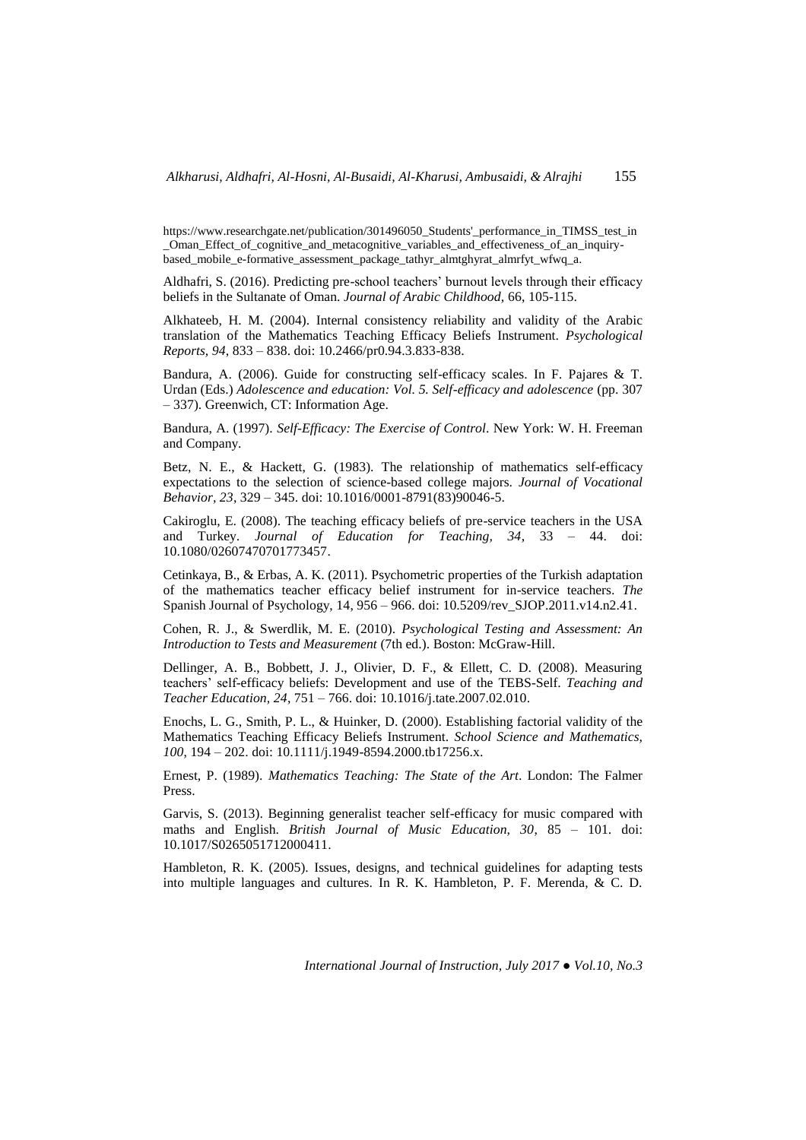[https://www.researchgate.net/publication/301496050\\_Students'\\_performance\\_in\\_TIMSS\\_test\\_in](https://www.researchgate.net/publication/301496050_Students) [\\_Oman\\_Effect\\_of\\_cognitive\\_and\\_metacognitive\\_variables\\_and\\_effectiveness\\_of\\_an\\_inquiry](https://www.researchgate.net/publication/301496050_Students)[based\\_mobile\\_e-formative\\_assessment\\_package\\_tathyr\\_almtghyrat\\_almrfyt\\_wfwq\\_a.](https://www.researchgate.net/publication/301496050_Students)

Aldhafri, S. (2016). Predicting pre-school teachers' burnout levels through their efficacy beliefs in the Sultanate of Oman. *Journal of Arabic Childhood,* 66, 105-115.

Alkhateeb, H. M. (2004). Internal consistency reliability and validity of the Arabic translation of the Mathematics Teaching Efficacy Beliefs Instrument. *Psychological Reports, 94*, 833 – 838. doi: 10.2466/pr0.94.3.833-838.

Bandura, A. (2006). Guide for constructing self-efficacy scales. In F. Pajares & T. Urdan (Eds.) *Adolescence and education: Vol. 5. Self-efficacy and adolescence* (pp. 307 – 337). Greenwich, CT: Information Age.

Bandura, A. (1997). *Self-Efficacy: The Exercise of Control*. New York: W. H. Freeman and Company.

Betz, N. E., & Hackett, G. (1983). The relationship of mathematics self-efficacy expectations to the selection of science-based college majors. *Journal of Vocational Behavior, 23*, 329 – 345[. doi: 10.1016/0001-8791\(83\)90046-5.](http://dx.doi.org/10.1016/0001-8791(83)90046-5)

Cakiroglu, E. (2008). The teaching efficacy beliefs of pre-service teachers in the USA and Turkey. *Journal of Education for Teaching, 34*, 33 – 44. doi: 10.1080/02607470701773457.

Cetinkaya, B., & Erbas, A. K. (2011). Psychometric properties of the Turkish adaptation of the mathematics teacher efficacy belief instrument for in-service teachers. *The*  Spanish Journal of Psychology, 14, 956 – 966. [doi: 10.5209/rev\\_SJOP.2011.v14.n2.41.](http://dx.doi.org/10.5209/rev_SJOP.2011.v14.n2.41)

Cohen, R. J., & Swerdlik, M. E. (2010). *Psychological Testing and Assessment: An Introduction to Tests and Measurement* (7th ed.). Boston: McGraw-Hill.

Dellinger, A. B., Bobbett, J. J., Olivier, D. F., & Ellett, C. D. (2008). Measuring teachers' self-efficacy beliefs: Development and use of the TEBS-Self. *Teaching and Teacher Education, 24*, 751 – 766[. doi: 10.1016/j.tate.2007.02.010.](http://dx.doi.org/10.1016/j.tate.2007.02.010)

Enochs, L. G., Smith, P. L., & Huinker, D. (2000). Establishing factorial validity of the Mathematics Teaching Efficacy Beliefs Instrument. *School Science and Mathematics, 100*, 194 – 202. doi: 10.1111/j.1949-8594.2000.tb17256.x.

Ernest, P. (1989). *Mathematics Teaching: The State of the Art*. London: The Falmer Press.

Garvis, S. (2013). Beginning generalist teacher self-efficacy for music compared with maths and English. *British Journal of Music Education, 30*, 85 – 101. doi: 10.1017/S0265051712000411.

Hambleton, R. K. (2005). Issues, designs, and technical guidelines for adapting tests into multiple languages and cultures. In R. K. Hambleton, P. F. Merenda, & C. D.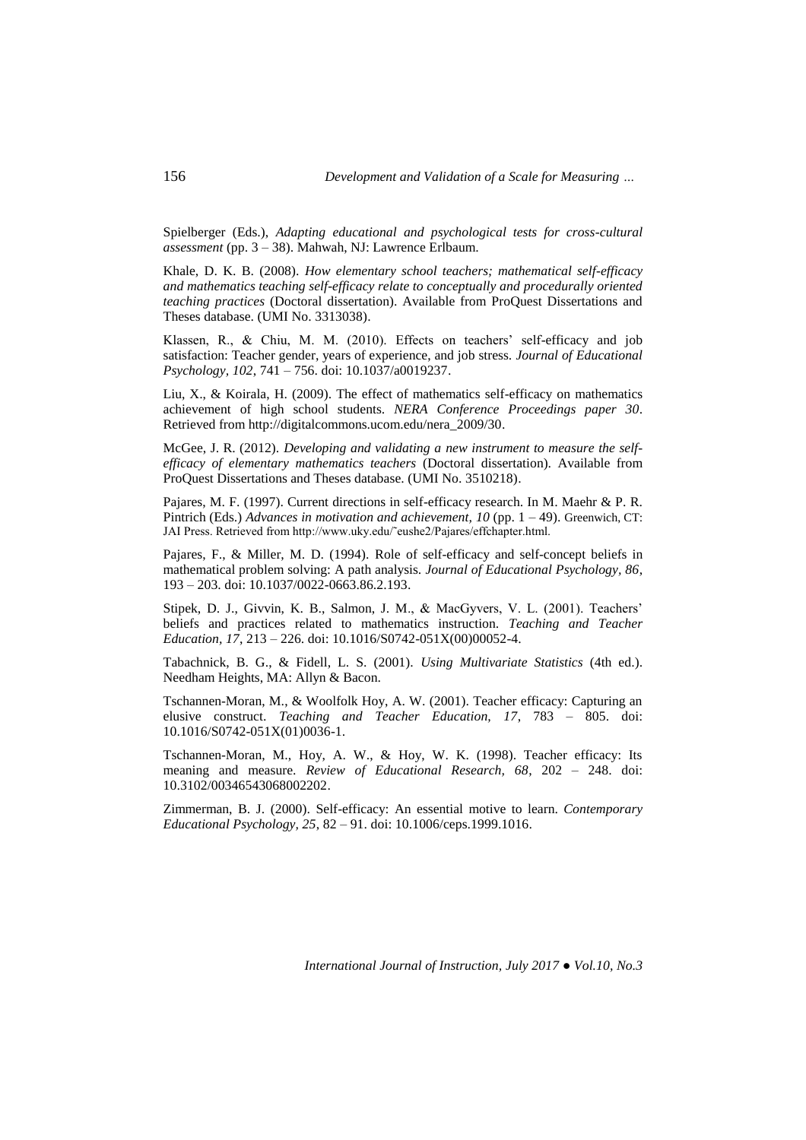Spielberger (Eds.), *Adapting educational and psychological tests for cross-cultural assessment* (pp. 3 – 38). Mahwah, NJ: Lawrence Erlbaum.

Khale, D. K. B. (2008). *How elementary school teachers; mathematical self-efficacy and mathematics teaching self-efficacy relate to conceptually and procedurally oriented teaching practices* (Doctoral dissertation). Available from ProQuest Dissertations and Theses database. (UMI No. 3313038).

Klassen, R., & Chiu, M. M. (2010). Effects on teachers' self-efficacy and job satisfaction: Teacher gender, years of experience, and job stress. *Journal of Educational Psychology, 102*, 741 – 756. doi: 10.1037/a0019237.

Liu, X., & Koirala, H. (2009). The effect of mathematics self-efficacy on mathematics achievement of high school students. *NERA Conference Proceedings paper 30*. Retrieved from http://digitalcommons.ucom.edu/nera\_2009/30.

McGee, J. R. (2012). *Developing and validating a new instrument to measure the selfefficacy of elementary mathematics teachers* (Doctoral dissertation). Available from ProQuest Dissertations and Theses database. (UMI No. 3510218).

Pajares, M. F. (1997). Current directions in self-efficacy research. In M. Maehr & P. R. Pintrich (Eds.) *Advances in motivation and achievement, 10* (pp. 1 – 49). Greenwich, CT: JAI Press. Retrieved from http://www.uky.edu/~eushe2/Pajares/effchapter.html.

Pajares, F., & Miller, M. D. (1994). Role of self-efficacy and self-concept beliefs in mathematical problem solving: A path analysis. *Journal of Educational Psychology, 86*, 193 – 203. [doi: 10.1037/0022-0663.86.2.193.](http://dx.doi.org/10.1037/0022-0663.86.2.193)

Stipek, D. J., Givvin, K. B., Salmon, J. M., & MacGyvers, V. L. (2001). Teachers' beliefs and practices related to mathematics instruction. *Teaching and Teacher Education, 17*, 213 – 226. [doi: 10.1016/S0742-051X\(00\)00052-4.](http://dx.doi.org/10.1016/S0742-051X(00)00052-4)

Tabachnick, B. G., & Fidell, L. S. (2001). *Using Multivariate Statistics* (4th ed.). Needham Heights, MA: Allyn & Bacon.

Tschannen-Moran, M., & Woolfolk Hoy, A. W. (2001). Teacher efficacy: Capturing an elusive construct. *Teaching and Teacher Education, 17*, 783 – 805. doi: 10.1016/S0742-051X(01)0036-1.

Tschannen-Moran, M., Hoy, A. W., & Hoy, W. K. (1998). Teacher efficacy: Its meaning and measure. *Review of Educational Research, 68*, 202 – 248. doi: 10.3102/00346543068002202.

Zimmerman, B. J. (2000). Self-efficacy: An essential motive to learn. *Contemporary Educational Psychology, 25*, 82 – 91[. doi: 10.1006/ceps.1999.1016.](http://dx.doi.org/10.1006/ceps.1999.1016)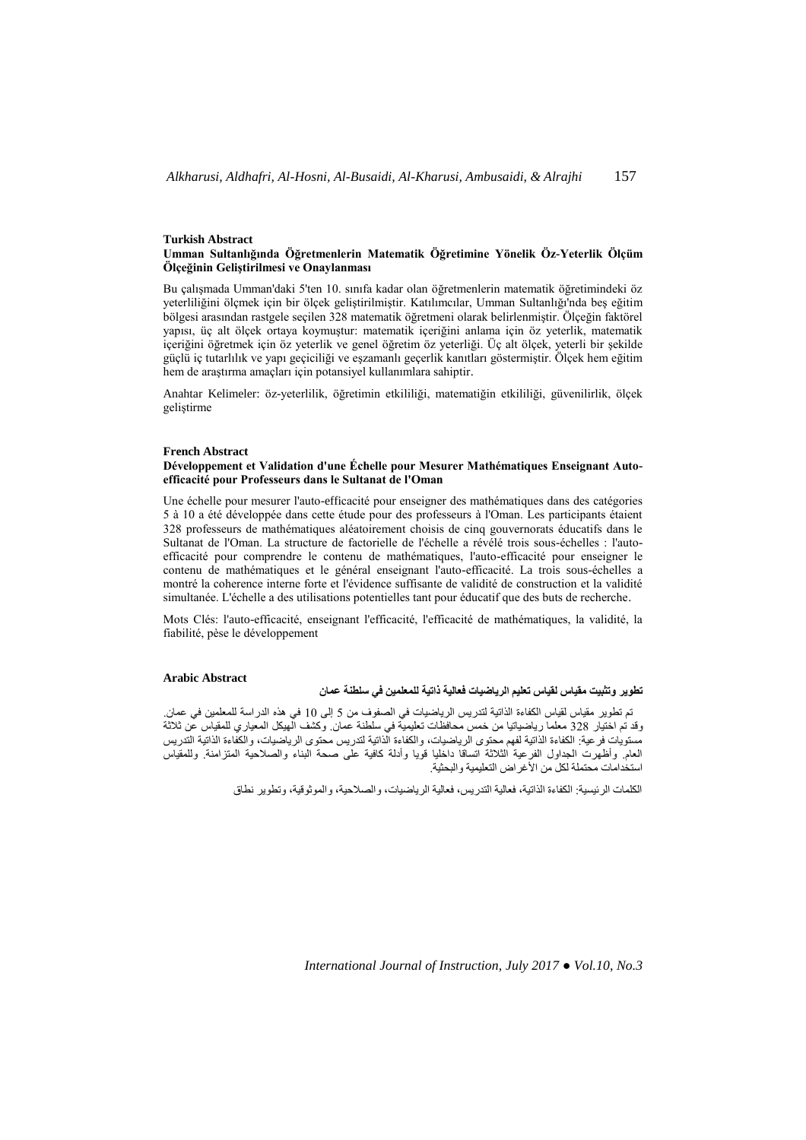#### **Turkish Abstract Umman Sultanlığında Öğretmenlerin Matematik Öğretimine Yönelik Öz-Yeterlik Ölçüm Ölçeğinin Geliştirilmesi ve Onaylanması**

Bu çalışmada Umman'daki 5'ten 10. sınıfa kadar olan öğretmenlerin matematik öğretimindeki öz yeterliliğini ölçmek için bir ölçek geliştirilmiştir. Katılımcılar, Umman Sultanlığı'nda beş eğitim bölgesi arasından rastgele seçilen 328 matematik öğretmeni olarak belirlenmiştir. Ölçeğin faktörel yapısı, üç alt ölçek ortaya koymuştur: matematik içeriğini anlama için öz yeterlik, matematik içeriğini öğretmek için öz yeterlik ve genel öğretim öz yeterliği. Üç alt ölçek, yeterli bir şekilde güçlü iç tutarlılık ve yapı geçiciliği ve eşzamanlı geçerlik kanıtları göstermiştir. Ölçek hem eğitim hem de araştırma amaçları için potansiyel kullanımlara sahiptir.

Anahtar Kelimeler: öz-yeterlilik, öğretimin etkililiği, matematiğin etkililiği, güvenilirlik, ölçek geliştirme

#### **French Abstract**

### **Développement et Validation d'une Échelle pour Mesurer Mathématiques Enseignant Autoefficacité pour Professeurs dans le Sultanat de l'Oman**

Une échelle pour mesurer l'auto-efficacité pour enseigner des mathématiques dans des catégories 5 à 10 a été développée dans cette étude pour des professeurs à l'Oman. Les participants étaient 328 professeurs de mathématiques aléatoirement choisis de cinq gouvernorats éducatifs dans le Sultanat de l'Oman. La structure de factorielle de l'échelle a révélé trois sous-échelles : l'autoefficacité pour comprendre le contenu de mathématiques, l'auto-efficacité pour enseigner le contenu de mathématiques et le général enseignant l'auto-efficacité. La trois sous-échelles a montré la coherence interne forte et l'évidence suffisante de validité de construction et la validité simultanée. L'échelle a des utilisations potentielles tant pour éducatif que des buts de recherche.

Mots Clés: l'auto-efficacité, enseignant l'efficacité, l'efficacité de mathématiques, la validité, la fiabilité, pèse le développement

### **Arabic Abstract**

# **تطوير وتثبيت مقياس لقياس تعليم الرياضيات فعالية ذاتية للمعلمين في سلطنة عمان**

تم تطوير مقياس لقياس الكفاءة الذاتية لتدريس الرياضيات في الصفوف من 5 إلى 01 في هذه الدراسة للمعلمين في عمان. وقد تم اختيار 823 معلما رياضياتيا من خمس محافظات تعليمية في سلطنة عمان. وكشف الهيكل المعياري للمقياس عن ثالثة مستويات فرعية: الكفاءة الذاتية لفهم محتوى الرياضيات، والكفاءة الذاتية لتدريس محتوى الرياضيات، والكفاءة الذاتية التدريس العام. وأظهرت الجداول الفرعية الثالثة اتساقا داخليا قويا وأدلة كافية على صحة البناء والصالحية المتزامنة. وللمقياس استخدامات محتملة لكل من الأغر اض التعليمية و البحثية.

الكلمات الرئيسية: الكفاءة الذاتية، فعالية التدريس، فعالية الرياضيات، والصالحية، والموثوقية، وتطوير نطاق